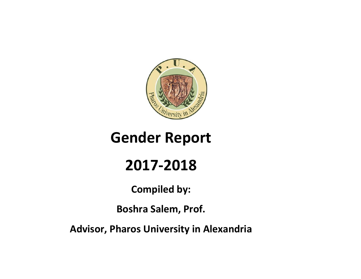

# **Gender Report**

# **2017-2018**

**Compiled by:**

**Boshra Salem, Prof.**

**Advisor, Pharos University in Alexandria**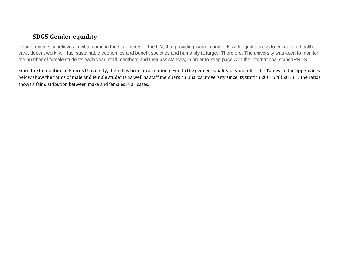### **SDG5 Gender equality**

Pharos university believes in what came in the statements of the UN, that providing women and girls with equal access to education, health care, decent work, will fuel sustainable economies and benefit societies and humanity at large. Therefore, The university was keen to monitor the number of female students each year, staff members and their assistances, in order to keep pace with the international standaRNDS.

Since the foundation of Pharos University, there has been an attention given to the gender equality of students. The Tables in the appendices below show the ratios of male and female students as well as staff members in pharos university since its start in 20016 till 2018. . The ratios shows a fair distribution between make and females in all cases.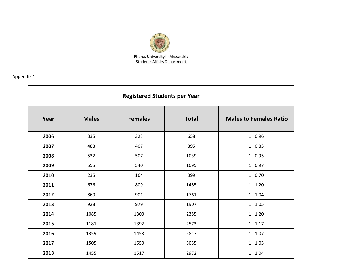

Pharos University in Alexandria **Students Affairs Department** 

|      |              | <b>Registered Students per Year</b> |              |                               |
|------|--------------|-------------------------------------|--------------|-------------------------------|
| Year | <b>Males</b> | <b>Females</b>                      | <b>Total</b> | <b>Males to Females Ratio</b> |
| 2006 | 335          | 323                                 | 658          | 1:0.96                        |
| 2007 | 488          | 407                                 | 895          | 1:0.83                        |
| 2008 | 532          | 507                                 | 1039         | 1:0.95                        |
| 2009 | 555          | 540                                 | 1095         | 1:0.97                        |
| 2010 | 235          | 164                                 | 399          | 1:0.70                        |
| 2011 | 676          | 809                                 | 1485         | 1:1.20                        |
| 2012 | 860          | 901                                 | 1761         | 1:1.04                        |
| 2013 | 928          | 979                                 | 1907         | 1:1.05                        |
| 2014 | 1085         | 1300                                | 2385         | 1:1.20                        |
| 2015 | 1181         | 1392                                | 2573         | 1:1.17                        |
| 2016 | 1359         | 1458                                | 2817         | 1:1.07                        |
| 2017 | 1505         | 1550                                | 3055         | 1:1.03                        |
| 2018 | 1455         | 1517                                | 2972         | 1:1.04                        |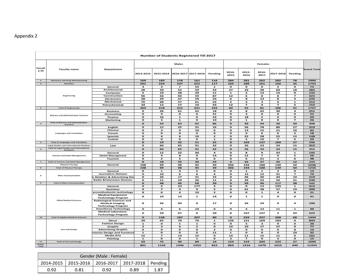|                          |                                                                     |                                                                                           |                              | Number of Students Registered Till 2017 |                                         |                    |                   |               |                          |                          |                          |                                          |                    |
|--------------------------|---------------------------------------------------------------------|-------------------------------------------------------------------------------------------|------------------------------|-----------------------------------------|-----------------------------------------|--------------------|-------------------|---------------|--------------------------|--------------------------|--------------------------|------------------------------------------|--------------------|
|                          |                                                                     |                                                                                           |                              |                                         | <b>Males</b>                            |                    |                   |               |                          | <b>Females</b>           |                          |                                          |                    |
| <b>Facult</b><br>y ID    | <b>Faculty name</b>                                                 | Department                                                                                | 2014-2015                    | 2015-2016 2016-2017 2017-2018           |                                         |                    | Pending           | 2014-<br>2015 | 2015-<br>2016            | 2016-<br>2017            | 2017-2018                | Pending                                  | <b>Grand Total</b> |
| $\mathbf{1}$             | <b>Pharmacy and Drug Manufacturing</b>                              |                                                                                           | 169                          | 183                                     | 178                                     | 161                | 116               | 284           | 281                      | 262                      | 282                      | 78                                       | 1994               |
| $\mathbf{z}$             | Dentistry                                                           |                                                                                           | 201                          | 224                                     | 237                                     | 222                | 117               | 165           | 189                      | 161                      | 192                      | 35                                       | 1743               |
|                          |                                                                     | General                                                                                   | з                            | з                                       | $\overline{\phantom{a}}$                | 54                 | ${\bf 1}$         | o             | $\mathbf{o}$             | $\mathbf{o}$             | 5                        | $\mathbf{o}$                             | 73                 |
|                          |                                                                     | Architectural                                                                             | 28                           | 30                                      | 52                                      | 59                 | 33                | 27            | 29                       | 48                       | 60                       | 18                                       | 384                |
|                          | <b>Engineering</b>                                                  | Computer<br>Construction                                                                  | 5<br>96                      | 19<br>56                                | 28<br>94                                | 39<br>59           | 11<br>87          | 1<br>12       | 2<br>6                   | 13<br>o                  | 14<br>8                  | $\mathbf{o}$<br>$\overline{\mathbf{z}}$  | 132<br>425         |
|                          |                                                                     | <b>Electronics</b>                                                                        | 28                           | 29                                      | 57                                      | 59                 | 24                | 6             | 8                        | 13                       | 8                        | з                                        | 235                |
|                          |                                                                     | Mechanical                                                                                | 70                           | 68                                      | 57                                      | 61                 | 43                | $\mathbf{z}$  | з                        | з                        | 4                        | ${\bf 1}$                                | 312                |
|                          |                                                                     | Petrochemical                                                                             | 34                           | 13                                      | 17                                      | 10                 | 43                | 12            | $\overline{\phantom{a}}$ | 4                        | $\overline{\phantom{a}}$ | 5                                        | 152                |
| $\mathbf{3}$             | <b>Total of Engineering</b>                                         |                                                                                           | 264                          | 218                                     | 312                                     | 341                | 242               | 60            | 55                       | 81                       | 106                      | 31                                       | 1707               |
|                          |                                                                     | <b>Business</b>                                                                           | $\mathbf{o}$                 | 26                                      | 61                                      | 62                 | 18                | o             | 8                        | 42                       | 30                       | $\overline{\mathbf{a}}$                  | 251                |
|                          | <b>Bisiness and Administrative Sciences</b>                         | <b>Accounting</b>                                                                         | $\mathbf{o}$                 | 9                                       | $\mathbf{o}$                            | $\mathbf{o}$       | 31                | o             | з                        | $\mathbf{o}$             | o                        | $\mathbf{9}$                             | 52                 |
|                          |                                                                     | <b>Finance</b>                                                                            | $\mathbf{o}$                 | 16                                      | $\mathbf{1}$                            | $\mathbf{o}$       | 23                | o             | 18                       | $\mathbf{z}$             | о                        | $\mathbf{9}$<br>$\overline{\phantom{a}}$ | 69                 |
|                          | <b>Total of Bisiness and Administrative</b>                         | <b>Marketing</b>                                                                          | $\mathbf{o}$                 | $\overline{\mathbf{3}}$                 | $\mathbf{1}$                            | $\mathbf{o}$       | 14                | o             | ${\bf 1}$                | $\mathbf{o}$             | $\mathbf{o}$             |                                          | 26                 |
| $\overline{a}$           | <b>Sciences</b>                                                     |                                                                                           | $\mathbf{o}$                 | 54                                      | 63                                      | 62                 | 86                | $\mathbf{o}$  | 30                       | 44                       | 30                       | 29                                       | 398                |
|                          |                                                                     | English                                                                                   | $\mathbf{o}$                 | 12                                      | 25                                      | 25                 | 16                | o             | 56                       | 78                       | 80                       | 27                                       | 319                |
|                          | <b>Languages and Translation</b>                                    | Chinese<br>French                                                                         | $\mathbf{o}$<br>$\mathbf{o}$ | з<br>$\mathbf{o}$                       | $\overline{\mathbf{a}}$<br>$\mathbf{o}$ | 10<br>$\mathbf{o}$ | 6<br>о            | o<br>o        | 13<br>4                  | 15<br>6                  | 21<br>6                  | 10<br>$\mathbf{z}$                       | 82<br>18           |
|                          |                                                                     | Spanish                                                                                   | $\mathbf{o}$                 | 4                                       | 6                                       | 16                 | $\mathbf{z}$      | о             | 25                       | 28                       | 55                       | 12                                       | 148                |
|                          |                                                                     | Turkish                                                                                   | $\mathbf{o}$                 | $\mathbf{o}$                            | $\mathbf{o}$                            | $\mathbf{o}$       | ${\bf 1}$         | o             | 5                        | 10                       | $\overline{\mathbf{z}}$  | 6                                        | 29                 |
| $\mathbf{5}$             | <b>Total of Languages and Translation</b>                           |                                                                                           | $\mathbf{o}$                 | 19                                      | 35                                      | 51                 | 25                | O             | 103                      | 137                      | 169                      | 57                                       | 596                |
|                          | <b>Legal Studies and International Relations</b>                    | Law                                                                                       | $\mathbf{o}$                 | 66                                      | 65                                      | 91                 | 42                | о             | 26                       | 23                       | 24                       | 15                                       | 352                |
| 6                        | <b>Total of Legal Studies and International</b><br><b>Relations</b> |                                                                                           | $\mathbf{o}$                 | 66                                      | 65                                      | 91                 | 42                | $\mathbf o$   | 26                       | 23                       | 24                       | 15                                       | 352                |
|                          |                                                                     | General                                                                                   | $\mathbf{o}$                 | 12                                      | 22                                      | 46                 | 4                 | o             | 8                        | 9                        | 43                       | $\mathbf{1}$                             | 145                |
|                          | <b>Tourism and Hotel Management</b>                                 | <b>Hotel Managment</b>                                                                    | $\mathbf{o}$                 | $\overline{a}$                          | 8                                       | $\mathbf{o}$       | 14                | o             | 12                       | $\overline{\phantom{a}}$ | $\mathbf{o}$             | 5                                        | 50                 |
|                          |                                                                     | Tourism                                                                                   | o                            | $\mathbf{z}$                            | 5                                       | $\mathbf{o}$       | 6                 | o             | 6                        | 21                       | $\mathbf{z}$             | 6                                        | 48                 |
| $\overline{\phantom{a}}$ | <b>Total of Tourism and Hotel Management</b>                        |                                                                                           | $\mathbf{o}$                 | 18                                      | 35                                      | 46                 | 24                | $\mathbf{o}$  | 26                       | 37                       | 45                       | 12                                       | 243                |
|                          | <b>Physical Therapy</b>                                             | General                                                                                   | 108                          | 99<br>99                                | 98                                      | 95<br>95           | 49<br>49          | 206           | 194                      | 188                      | 149                      | 50<br>50                                 | 1236               |
| $\bf{s}$                 | <b>Total of Physical Therapy</b>                                    | General                                                                                   | 108<br>$\mathbf o$           | $\mathbf{1}$                            | 98<br>4                                 | 5                  | $\mathbf{o}$      | 206<br>o      | 194<br>$\mathbf{1}$      | 188<br>$\mathbf{1}$      | 149<br>$\mathbf{z}$      | $\mathbf{o}$                             | 1236<br>14         |
|                          |                                                                     | <b>Journalism Division</b>                                                                | $\mathbf{o}$                 | 10                                      | 6                                       | 6                  | $\overline{a}$    | o             | 13                       | 12                       | 21                       | $\overline{z}$                           | 79                 |
| $\mathbf{9}$             | <b>Mass Communication</b>                                           | ic Relation & Advertising Div                                                             | $\mathbf{o}$                 | 26                                      | 17                                      | 31                 | 15                | о             | 46                       | 30                       | 44                       | 10                                       | 219                |
|                          |                                                                     | <b>Radio &amp;Television Division</b>                                                     | o                            | 11                                      | 19                                      | 26                 | 11                | о             | 39                       | 53                       | 50                       | 21                                       | 230                |
| $\mathbf{9}$             | <b>Total of Mass Communication</b>                                  |                                                                                           | $\mathbf{o}$                 | 48                                      | 46                                      | 68                 | 30                | O             | 99                       | 96                       | 117                      | 38                                       | 542                |
|                          |                                                                     | General                                                                                   | o                            | $\mathbf{z}$                            | 23                                      | 177                | з                 | o             | o                        | 13                       | 193                      | $\mathbf{1}$                             | 412                |
|                          |                                                                     | <b>Nutrition</b>                                                                          | $\mathbf{o}$                 | $\overline{\phantom{a}}$                | $\overline{\mathbf{a}}$                 | 9                  | 5                 | o             | 61                       | 38                       | 57                       | 19                                       | 200                |
|                          |                                                                     | prosothodontic technology                                                                 | o                            | $\mathbf{o}$                            | 4                                       | 10                 | $\mathbf{z}$      | о             | o                        | 1                        | 4                        | $\mathbf{o}$                             | 21                 |
|                          | <b>Allied Medical Sciences</b>                                      | <b>Medical Equipment</b><br><b>Technology Program</b><br><b>Radiological Sciences and</b> | $\mathbf{o}$                 | 10                                      | 14                                      | $\mathbf{1}$       | 14                | o             | 1                        | $\mathbf{1}$             | о                        | $\mathbf{o}$                             | 41                 |
|                          |                                                                     | <b>Medical Imaging</b><br><b>Technology Program</b>                                       | $\mathbf{o}$                 | 56                                      | 69                                      | $\mathbf{o}$       | 17                | о             | 26                       | 24                       | о                        | $\overline{\mathbf{a}}$                  | 196                |
|                          |                                                                     | <b>Anesthesia Technology</b>                                                              | $\mathbf{o}$                 | $\overline{\mathbf{a}}$                 | 6                                       | 10                 | $\mathbf{o}$      | o             | 4                        | 13                       | $11$                     | ${\bf 1}$                                | 49                 |
|                          |                                                                     | <b>Medical Laboratory</b><br><b>Technology Program</b>                                    | $\mathbf{o}$                 | 59                                      | 67                                      | $\mathbf{o}$       | 39                | $\mathbf{o}$  | 167                      | 147                      | $\mathbf{3}$             | 43                                       | 525                |
| $\bf{10}$                | <b>Total of Applied Medical Sciences</b>                            |                                                                                           | $\mathbf{o}$                 | 138                                     | 187                                     | 207                | 80                | $\mathbf{o}$  | 259                      | 237                      | 268                      | 68                                       | 1444               |
|                          |                                                                     | Décor                                                                                     | 39                           | 65                                      | 70                                      | 70                 | ${\bf 1}$         | 126           | 121                      | 169                      | 183                      | $\mathbf{o}$                             | 844                |
|                          |                                                                     | <b>Fashion Design</b>                                                                     | ${\bf 1}$                    | $\mathbf{o}$                            | $\mathbf{1}$                            | 1                  | $\mathbf{o}$      | o             | 5                        | з                        | 9                        | $\mathbf{o}$                             | 20                 |
|                          | <b>Arts and Design</b>                                              | Graphic<br><b>Advertising-Graphic</b>                                                     | $\mathbf{z}$<br>$\mathbf{o}$ | з<br>$\mathbf{o}$                       | 6<br>$\mathbf{o}$                       | 2<br>$\mathbf{o}$  | o<br>$\mathbf{z}$ | 10<br>o       | 10<br>$\mathbf{o}$       | 17<br>$\mathbf{o}$       | 27<br>о                  | $\mathbf{o}$<br>8                        | 77<br>10           |
|                          |                                                                     | Interior Design and Furniture                                                             | ${\bf 1}$                    | $\mathbf{o}$                            | $\mathbf{o}$                            | $\mathbf{o}$       | 11                | $\mathbf{1}$  | $\mathbf{o}$             | $\mathbf{o}$             | $\mathbf{o}$             | 19                                       | 32                 |
|                          |                                                                     | <b>Media Arts</b>                                                                         | 15                           | $\overline{\phantom{a}}$                | 13                                      | 15                 | o                 | 14            | 11                       | 15                       | 11                       | $\mathbf{o}$                             | 101                |
|                          |                                                                     | Painting                                                                                  | $\mathbf{1}$                 | $\mathbf{o}$                            | $\mathbf{o}$                            | $\mathbf{1}$       | $\mathbf{o}$      | $\mathbf{a}$  | 7                        | $\mathbf{o}$             | 3                        | $\mathbf{o}$                             | 15                 |
| 11                       | <b>Total of Arts and Design</b>                                     |                                                                                           | 59                           | 75                                      | 90                                      | 89                 | 14                | 154           | 154                      | 204                      | 233                      | 27                                       | 1099               |
| Grand<br>Total           |                                                                     |                                                                                           | 801                          | 1142                                    | 1346                                    | 1433               | 822               | 869           | 1416                     | 1470                     | 1615                     | 440                                      | 11354              |
|                          |                                                                     | Gender (Male: Female)                                                                     |                              |                                         |                                         |                    |                   |               |                          |                          |                          |                                          |                    |

| Gender (Male: Female) |                                                         |      |      |      |  |  |  |  |  |  |  |  |
|-----------------------|---------------------------------------------------------|------|------|------|--|--|--|--|--|--|--|--|
|                       | 2014-2015   2015-2016   2016-2017   2017-2018   Pending |      |      |      |  |  |  |  |  |  |  |  |
| በ ዓን                  | በ ጸ1                                                    | በ ዓ2 | 0.89 | 1 87 |  |  |  |  |  |  |  |  |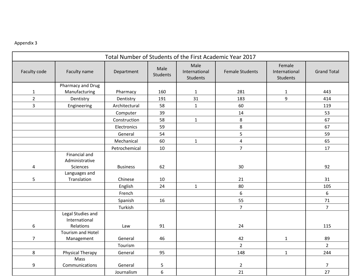|                |                                             | Total Number of Students of the First Academic Year 2017 |                         |                                          |                        |                                            |                    |  |
|----------------|---------------------------------------------|----------------------------------------------------------|-------------------------|------------------------------------------|------------------------|--------------------------------------------|--------------------|--|
| Faculty code   | Faculty name                                | Department                                               | Male<br><b>Students</b> | Male<br>International<br><b>Students</b> | <b>Female Students</b> | Female<br>International<br><b>Students</b> | <b>Grand Total</b> |  |
|                | Pharmacy and Drug                           |                                                          |                         |                                          |                        |                                            |                    |  |
| $\mathbf{1}$   | Manufacturing                               | Pharmacy                                                 | 160                     | $\mathbf{1}$                             | 281                    | $\mathbf{1}$                               | 443                |  |
| $\overline{2}$ | Dentistry                                   | Dentistry                                                | 191                     | 31                                       | 183                    | 9                                          | 414                |  |
| 3              | Engineering                                 | Architectural                                            | 58                      | $\mathbf{1}$                             | 60                     |                                            | 119                |  |
|                |                                             | Computer                                                 | 39                      |                                          | 14                     |                                            | 53                 |  |
|                |                                             | Construction                                             | 58                      | $\mathbf{1}$                             | 8                      |                                            | 67                 |  |
|                |                                             | Electronics                                              | 59                      |                                          | 8                      |                                            | 67                 |  |
|                |                                             | General                                                  | 54                      |                                          | 5                      |                                            | 59                 |  |
|                |                                             | Mechanical                                               | 60                      | $\mathbf{1}$                             | $\overline{4}$         |                                            | 65                 |  |
|                |                                             | Petrochemical                                            | 10                      |                                          | $\overline{7}$         |                                            | 17                 |  |
| 4              | Financial and<br>Administrative<br>Sciences | <b>Business</b>                                          | 62                      |                                          | 30                     |                                            | 92                 |  |
| 5              | Languages and<br>Translation                | Chinese                                                  | 10                      |                                          | 21                     |                                            | 31                 |  |
|                |                                             | English                                                  | 24                      | $\mathbf{1}$                             | 80                     |                                            | 105                |  |
|                |                                             | French                                                   |                         |                                          | 6                      |                                            | 6                  |  |
|                |                                             | Spanish                                                  | 16                      |                                          | 55                     |                                            | 71                 |  |
|                |                                             | Turkish                                                  |                         |                                          | $\overline{7}$         |                                            | $\overline{7}$     |  |
|                | Legal Studies and<br>International          |                                                          |                         |                                          |                        |                                            |                    |  |
| 6              | Relations                                   | Law                                                      | 91                      |                                          | 24                     |                                            | 115                |  |
|                | Tourism and Hotel                           |                                                          |                         |                                          |                        |                                            |                    |  |
| $\overline{7}$ | Management                                  | General                                                  | 46                      |                                          | 42<br>$\overline{2}$   | $\mathbf{1}$                               | 89<br>$2^{\circ}$  |  |
|                |                                             | Tourism                                                  |                         |                                          |                        |                                            |                    |  |
| 8              | <b>Physical Therapy</b><br>Mass             | General                                                  | 95                      |                                          | 148                    | $\mathbf{1}$                               | 244                |  |
| 9              | Communications                              | General                                                  | 5                       |                                          | $\overline{2}$         |                                            | 7                  |  |
|                |                                             | Journalism                                               | $\boldsymbol{6}$        |                                          | 21                     |                                            | 27                 |  |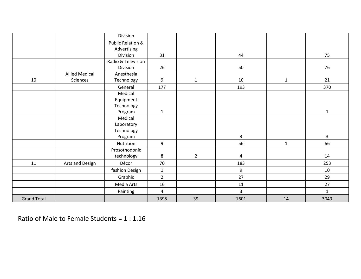|                    |                       | Division           |                |              |                |              |              |
|--------------------|-----------------------|--------------------|----------------|--------------|----------------|--------------|--------------|
|                    |                       | Public Relation &  |                |              |                |              |              |
|                    |                       | Advertising        |                |              |                |              |              |
|                    |                       | Division           | 31             |              | 44             |              | 75           |
|                    |                       | Radio & Television |                |              |                |              |              |
|                    |                       | Division           | 26             |              | 50             |              | 76           |
|                    | <b>Allied Medical</b> | Anesthesia         |                |              |                |              |              |
| 10                 | Sciences              | Technology         | 9              | $\mathbf{1}$ | 10             | $\mathbf{1}$ | 21           |
|                    |                       | General            | 177            |              | 193            |              | 370          |
|                    |                       | Medical            |                |              |                |              |              |
|                    |                       | Equipment          |                |              |                |              |              |
|                    |                       | Technology         |                |              |                |              |              |
|                    |                       | Program            | $\mathbf{1}$   |              |                |              | $\mathbf{1}$ |
|                    |                       | Medical            |                |              |                |              |              |
|                    |                       | Laboratory         |                |              |                |              |              |
|                    |                       | Technology         |                |              |                |              |              |
|                    |                       | Program            |                |              | $\overline{3}$ |              | $\mathbf{3}$ |
|                    |                       | Nutrition          | 9              |              | 56             | $\mathbf{1}$ | 66           |
|                    |                       | Prosothodonic      |                |              |                |              |              |
|                    |                       | technology         | 8              | $2^{\circ}$  | $\overline{4}$ |              | 14           |
| 11                 | Arts and Design       | Décor              | 70             |              | 183            |              | 253          |
|                    |                       | fashion Design     | $\mathbf 1$    |              | 9              |              | 10           |
|                    |                       | Graphic            | $\overline{2}$ |              | 27             |              | 29           |
|                    |                       | Media Arts         | 16             |              | 11             |              | 27           |
|                    |                       | Painting           | $\overline{4}$ |              | $\overline{3}$ |              | $\mathbf{1}$ |
| <b>Grand Total</b> |                       |                    | 1395           | 39           | 1601           | 14           | 3049         |

Ratio of Male to Female Students = 1 : 1.16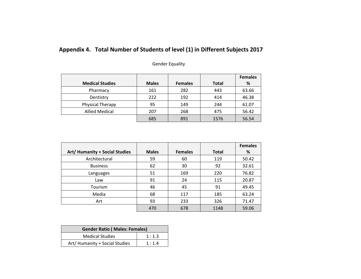## **Appendix 4. Total Number of Students of level (1) in Different Subjects 2017**

| <b>Gender Equality</b> |  |
|------------------------|--|
|------------------------|--|

|                        |              |                |              | <b>Females</b> |
|------------------------|--------------|----------------|--------------|----------------|
| <b>Medical Studies</b> | <b>Males</b> | <b>Females</b> | <b>Total</b> | %              |
| Pharmacy               | 161          | 282            | 443          | 63.66          |
| Dentistry              | 222          | 192            | 414          | 46.38          |
| Physical Therapy       | 95           | 149            | 244          | 61.07          |
| <b>Allied Medical</b>  | 207          | 268            | 475          | 56.42          |
|                        | 685          | 891            | 1576         | 56.54          |

|                                |              |                |              | <b>Females</b> |
|--------------------------------|--------------|----------------|--------------|----------------|
| Art/ Humanity + Social Studies | <b>Males</b> | <b>Females</b> | <b>Total</b> | %              |
| Architectural                  | 59           | 60             | 119          | 50.42          |
| <b>Business</b>                | 62           | 30             | 92           | 32.61          |
| Languages                      | 51           | 169            | 220          | 76.82          |
| Law                            | 91           | 24             | 115          | 20.87          |
| <b>Tourism</b>                 | 46           | 45             | 91           | 49.45          |
| Media                          | 68           | 117            | 185          | 63.24          |
| Art                            | 93           | 233            | 326          | 71.47          |
|                                | 470          | 678            | 1148         | 59.06          |

| <b>Gender Ratio (Males: Females)</b> |       |  |  |  |  |  |  |  |  |
|--------------------------------------|-------|--|--|--|--|--|--|--|--|
| <b>Medical Studies</b>               | 1:1.3 |  |  |  |  |  |  |  |  |
| Art/ Humanity + Social Studies       | 1:1.4 |  |  |  |  |  |  |  |  |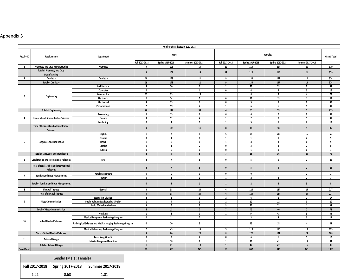|                         |                                                                     |                                                              |                         | Number of graduates in 2017-2018 |                         |                         |                         |                         |                         |                    |
|-------------------------|---------------------------------------------------------------------|--------------------------------------------------------------|-------------------------|----------------------------------|-------------------------|-------------------------|-------------------------|-------------------------|-------------------------|--------------------|
| Faculty ID              | <b>Faculty name</b>                                                 | Department                                                   |                         | <b>Males</b>                     |                         |                         |                         | Females                 |                         | <b>Grand Total</b> |
|                         |                                                                     |                                                              | Fall 2017-2018          | <b>Spring 2017-2018</b>          | Summer 2017-2018        | Fall 2017-2018          | Spring 2017-2018        | Spring 2017-2018        | Summer 2017-2018        |                    |
| 1                       | <b>Pharmacy and Drug Manufacturing</b>                              | Pharmacy                                                     | 9                       | 101                              | 15                      | 19                      | 214                     | 214                     | 21                      | 379                |
|                         | <b>Total of Pharmacy and Drug</b><br>Manufacturing                  |                                                              | 9                       | 101                              | 15                      | 19                      | 214                     | 214                     | 21                      | 379                |
| $\overline{2}$          | Dentistry                                                           | Dentistry                                                    | 19                      | 143                              | 11                      | 9                       | 130                     | 127                     | 12                      | 324                |
|                         | <b>Total of Dentistry</b>                                           |                                                              | 19                      | 143                              | 11                      | $\overline{9}$          | 130                     | 127                     | $12\,$                  | 324                |
|                         |                                                                     | Architectural                                                | 5                       | 20                               | $\mathbf 0$             | $\overline{2}$          | 23                      | 23                      | $\overline{\mathbf{3}}$ | 53                 |
|                         |                                                                     | Computer                                                     | $\pmb{0}$               | $11\,$                           | $\mathbf{1}$            | $\pmb{0}$               | $\overline{4}$          | $\overline{4}$          | $\pmb{0}$               | 16                 |
| $\overline{\mathbf{3}}$ | Engineering                                                         | Construction                                                 | 13                      | 35                               | 18                      | $\mathbf{1}$            | 8                       | 8                       | $\overline{4}$          | 79                 |
|                         |                                                                     | <b>Electronics</b>                                           | $\overline{2}$          | 24                               | 5 <sup>1</sup>          | $\mathbf 0$             | 13                      | 13                      | $\mathbf{1}$            | 45                 |
|                         |                                                                     | Mechanical                                                   | 4                       | 33                               | $\overline{7}$          | $\pmb{0}$               | 5                       | 5                       | $\mathbf 0$             | 49                 |
|                         |                                                                     | Petrochemical                                                | $\overline{2}$          | 19                               | $\overline{2}$          | 1                       | 6                       | 6                       | $\mathbf{1}$            | 31                 |
|                         | <b>Total of Engineering</b>                                         |                                                              | 26                      | 142                              | 33                      | $\overline{4}$          | 59                      | 59                      | $\overline{9}$          | 273                |
|                         |                                                                     | <b>Accounting</b>                                            | 6                       | 15                               | $\,$ 6 $\,$             | $6\phantom{1}$          | 6                       | $6\phantom{1}$          | $\overline{2}$          | 41                 |
| $\overline{4}$          | <b>Financial and Administrative Sciences</b>                        | Finance                                                      | $\overline{\mathbf{3}}$ | 11                               | $\overline{4}$          | $\mathbf{1}$            | $\overline{7}$          | $\overline{7}$          | $5\phantom{.0}$         | 31                 |
|                         |                                                                     | <b>Marketing</b>                                             | $\mathbf 0$             | $\overline{4}$                   | <sup>1</sup>            | $\mathbf{1}$            | 5                       | $\overline{5}$          | $\overline{2}$          | 13                 |
|                         | <b>Total of Financial and Administrative</b><br><b>Sciences</b>     |                                                              | 9                       | 30                               | $11\,$                  | 8                       | 18                      | 18                      | 9                       | 85                 |
|                         |                                                                     | English                                                      | $\mathbf{1}$            | $\overline{2}$                   | 4                       | $5\overline{5}$         | 28                      | 28                      | 16                      | 56                 |
|                         |                                                                     | Chinese                                                      | $\pmb{0}$               | $\mathbf{1}$                     | $\mathbf 0$             | $\mathbf{1}$            | $\mathbf{1}$            | $\mathbf{1}$            | $\overline{2}$          | $5\overline{5}$    |
| 5                       | <b>Languages and Translation</b>                                    | French                                                       | $\mathbf{1}$            | $\mathbf 0$                      | $\pmb{0}$               | $\mathbf{1}$            | $\overline{\mathbf{3}}$ | $\overline{\mathbf{3}}$ | $\mathbf 0$             | 5                  |
|                         |                                                                     | Spanish                                                      | $\mathbf 0$             | $\mathbf{1}$                     | $\overline{2}$          | $\mathbf 0$             | $\overline{\mathbf{3}}$ | $\overline{\mathbf{3}}$ | $\overline{2}$          | 8                  |
|                         |                                                                     | <b>Turkish</b>                                               | $\mathbf 0$             | $\pmb{0}$                        | $\pmb{0}$               | $\pmb{0}$               | $\mathbf{1}$            | $\mathbf{1}$            | $\mathbf 0$             | $\mathbf{1}$       |
|                         | <b>Total of Languages and Translation</b>                           |                                                              | $\overline{2}$          | $\overline{4}$                   | $6\overline{6}$         | $\overline{7}$          | 36                      | 36                      | 20                      | 75                 |
| 6                       | <b>Legal Studies and International Relations</b>                    | Law                                                          | 4                       | $\overline{7}$                   | 8                       | $\mathbf 0$             | 5                       | 5                       | $\mathbf{1}$            | 25                 |
|                         | <b>Total of Legal Studies and International</b><br><b>Relations</b> |                                                              | $\overline{4}$          | $\overline{7}$                   | $\boldsymbol{8}$        | $\mathbf{0}$            | 5 <sub>1</sub>          | 5 <sub>5</sub>          | $\mathbf 1$             | 25                 |
|                         |                                                                     | <b>Hotel Managment</b>                                       | $\mathbf{0}$            | $\mathbf{0}$                     | $\mathbf 0$             | $\mathbf 0$             | $\mathbf 0$             |                         | <sup>1</sup>            | 1                  |
| $\overline{7}$          | <b>Tourism and Hotel Management</b>                                 | Tourism                                                      | $\mathbf 0$             | $\mathbf{1}$                     | $\mathbf{1}$            | $\mathbf{1}$            | $\overline{2}$          | $\overline{2}$          | $\overline{2}$          | $\overline{7}$     |
|                         | <b>Total of Tourism and Hotel Management</b>                        |                                                              | $\mathbf{0}$            | $\mathbf{1}$                     | $\mathbf{1}$            | $\mathbf{1}$            | $\overline{2}$          | $\overline{2}$          | $\overline{\mathbf{3}}$ | 8                  |
| 8                       | <b>Physical Therapy</b>                                             | General                                                      | $\overline{\mathbf{3}}$ | 38                               | 23                      | $\overline{4}$          | 124                     | 124                     | 25                      | 217                |
|                         | <b>Total of Physical Therapy</b>                                    |                                                              | $\overline{\mathbf{3}}$ | 38                               | 23                      | $\overline{4}$          | 124                     | 124                     | 25                      | 217                |
|                         |                                                                     | <b>Journalism Division</b>                                   | $\overline{2}$          | $\overline{\mathbf{3}}$          | $\overline{\mathbf{3}}$ | $\overline{2}$          | 6                       | 6                       | $\mathbf{1}$            | 17                 |
| 9                       | <b>Mass Communication</b>                                           | <b>Public Relation &amp; Advertising Division</b>            | 1                       | $\overline{4}$                   | $\mathbf{1}$            | $\overline{2}$          | $12\,$                  | $12$                    | $\mathbf 0$             | 20                 |
|                         |                                                                     | <b>Radio &amp; Television Division</b>                       | $\overline{\mathbf{3}}$ | 6                                | $\overline{\mathbf{3}}$ | $\overline{\mathbf{3}}$ | 22                      | 22                      | $\mathbf{1}$            | 38                 |
|                         | <b>Total of Mass Communication</b>                                  |                                                              | $6\overline{6}$         | 13                               | $\overline{7}$          | $\overline{7}$          | 40                      | 40                      | $\overline{2}$          | 75                 |
|                         |                                                                     |                                                              | $\mathbf{1}$            |                                  | $\pmb{0}$               | $\mathbf{1}$            | 44                      | 43                      |                         | 55                 |
|                         |                                                                     | <b>Nutrition</b>                                             |                         | 6                                |                         |                         |                         |                         | $\overline{\mathbf{3}}$ | 17                 |
| 10                      | <b>Allied Medical Sciences</b>                                      | <b>Medical Equipment Technology Program</b>                  | $\mathbf 0$             | $11\,$                           | $\overline{2}$          | $\mathbf{1}$            | $\overline{\mathbf{3}}$ | $\overline{\mathbf{3}}$ | $\mathbf{0}$            |                    |
|                         |                                                                     | Radiological Sciences and Medical Imaging Technology Program | $\pmb{0}$               | 20                               | $\overline{\mathbf{3}}$ | $\mathbf{1}$            | 15                      | 15                      | $\overline{4}$          | 43                 |
|                         |                                                                     | <b>Medical Laboratory Technology Program</b>                 | $\overline{2}$          | 43                               | 15                      | $5^{\circ}$             | 110                     | 110                     | 18                      | 193                |
|                         | <b>Total of Allied Medical Sciences</b>                             |                                                              | $\overline{\mathbf{3}}$ | 80                               | 20                      | $\boldsymbol{8}$        | 172                     | 171                     | 25                      | 308                |
| 11                      | <b>Arts and Design</b>                                              | <b>Advertising-Graphic</b>                                   | $\mathbf 0$             | $\overline{\mathbf{3}}$          | $\overline{2}$          | $\pmb{0}$               | 6                       | 6                       | $\mathbf{1}$            | 12                 |
|                         |                                                                     | <b>Interior Design and Furniture</b>                         | $\mathbf{1}$            | 18                               | 8                       | <sup>1</sup>            | 41                      | 41                      | 15                      | 84                 |
|                         | <b>Total of Arts and Design</b>                                     |                                                              | $\overline{1}$          | 21                               | 10                      | $\overline{1}$          | 47                      | 47                      | 16                      | 96                 |
| <b>Grand Total</b>      |                                                                     |                                                              | 82                      | 580                              | 145                     | 68                      | 847                     | 843                     | 143                     | 1865               |

| Gender (Male: Female) |                         |                         |  |  |  |  |  |  |  |  |
|-----------------------|-------------------------|-------------------------|--|--|--|--|--|--|--|--|
| Fall 2017-2018        | <b>Spring 2017-2018</b> | <b>Summer 2017-2018</b> |  |  |  |  |  |  |  |  |
| 1 71                  | 0.68                    | 1 01                    |  |  |  |  |  |  |  |  |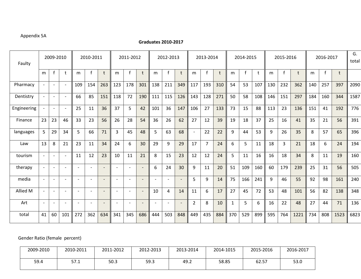#### Appendix 5A

#### **Graduates 2010-2017**

| Faulty      |                          | 2009-2010<br>2010-2011   |                          |                          | 2011-2012<br>2012-2013   |                          |                          |                          | 2013-2014                    |                          |                          | 2014-2015                |                          |                | 2015-2016 |              |              | 2016-2017 |     |                | G.<br>total |     |              |         |      |
|-------------|--------------------------|--------------------------|--------------------------|--------------------------|--------------------------|--------------------------|--------------------------|--------------------------|------------------------------|--------------------------|--------------------------|--------------------------|--------------------------|----------------|-----------|--------------|--------------|-----------|-----|----------------|-------------|-----|--------------|---------|------|
|             | m                        | $\mathsf{f}$             | t                        | m                        | $\mathsf{f}$             | t                        | m                        | $\mathbf{f}$             | t                            | m                        | f                        | t                        | m                        | $\mathbf{f}$   | t         | m            | $\mathbf{f}$ | t         | m   | $\mathbf{f}$   | t           | m   | $\mathsf{f}$ | $\sf t$ |      |
| Pharmacy    | $\overline{\phantom{a}}$ | $\overline{\phantom{a}}$ | $\overline{\phantom{a}}$ | 109                      | 154                      | 263                      | 123                      | 178                      | 301                          | 138                      | 211                      | 349                      | 117                      | 193            | 310       | 54           | 53           | 107       | 130 | 232            | 362         | 140 | 257          | 397     | 2090 |
| Dentistry   | $\overline{\phantom{a}}$ | $\overline{\phantom{a}}$ | $\overline{\phantom{a}}$ | 66                       | 85                       | 151                      | 118                      | 72                       | 190                          | 111                      | 115                      | 126                      | 143                      | 128            | 271       | 50           | 58           | 108       | 146 | 151            | 297         | 184 | 160          | 344     | 1587 |
| Engineering | $\overline{\phantom{a}}$ | $\overline{\phantom{a}}$ | $\overline{\phantom{a}}$ | 25                       | 11                       | 36                       | 37                       | 5                        | 42                           | 101                      | 36                       | 147                      | 106                      | 27             | 133       | 73           | 15           | 88        | 113 | 23             | 136         | 151 | 41           | 192     | 776  |
| Finance     | 23                       | 23                       | 46                       | 33                       | 23                       | 56                       | 26                       | 28                       | 54                           | 36                       | 26                       | 62                       | 27                       | 12             | 39        | 19           | 18           | 37        | 25  | 16             | 41          | 35  | 21           | 56      | 391  |
| languages   | 5                        | 29                       | 34                       | 5                        | 66                       | 71                       | 3                        | 45                       | 48                           | 5                        | 63                       | 68                       | $\overline{\phantom{a}}$ | 22             | 22        | 9            | 44           | 53        | 9   | 26             | 35          | 8   | 57           | 65      | 396  |
| Law         | 13                       | 8                        | 21                       | 23                       | 11                       | 34                       | 24                       | 6                        | 30                           | 29                       | 9                        | 29                       | 17                       | $\overline{7}$ | 24        | 6            | 5            | 11        | 18  | $\overline{3}$ | 21          | 18  | 6            | 24      | 194  |
| tourism     | $\overline{\phantom{a}}$ |                          | $\overline{\phantom{a}}$ | 11                       | 12                       | 23                       | 10                       | 11                       | 21                           | 8                        | 15                       | 23                       | 12                       | 12             | 24        | 5            | 11           | 16        | 16  | 18             | 34          | 8   | 11           | 19      | 160  |
| therapy     | $\overline{\phantom{a}}$ |                          | $\overline{\phantom{a}}$ |                          |                          |                          |                          | $\overline{\phantom{a}}$ | $\overline{\phantom{m}}$     | 6                        | 24                       | 30                       | 9                        | 11             | 20        | 51           | 109          | 160       | 60  | 179            | 239         | 25  | 31           | 56      | 505  |
| media       | $\overline{\phantom{a}}$ | $\overline{\phantom{a}}$ | $\overline{\phantom{a}}$ | $\overline{\phantom{a}}$ | $\overline{\phantom{0}}$ | $\overline{\phantom{a}}$ | $\overline{\phantom{0}}$ | $\overline{\phantom{0}}$ | $\qquad \qquad \blacksquare$ | $\overline{\phantom{0}}$ | $\overline{\phantom{a}}$ | $\overline{\phantom{a}}$ | 5                        | 9              | 14        | 75           | 166          | 241       | 9   | 46             | 55          | 92  | 98           | 161     | 240  |
| Allied M    | $\overline{\phantom{a}}$ | $\overline{\phantom{0}}$ | $\overline{\phantom{0}}$ | $\overline{\phantom{0}}$ |                          |                          |                          | $\overline{\phantom{0}}$ | $\overline{\phantom{a}}$     | 10                       | 4                        | 14                       | 11                       | 6              | 17        | 27           | 45           | 72        | 53  | 48             | 101         | 56  | 82           | 138     | 348  |
| Art         | $\overline{\phantom{a}}$ |                          | $\overline{\phantom{0}}$ | $\overline{\phantom{a}}$ |                          | $\overline{\phantom{a}}$ |                          | ٠                        |                              | $\overline{\phantom{0}}$ | $\overline{\phantom{a}}$ | $\overline{\phantom{0}}$ | $\overline{2}$           | 8              | 10        | $\mathbf{1}$ | 5            | 6         | 16  | 22             | 48          | 27  | 44           | 71      | 136  |
| total       | 41                       | 60                       | 101                      | 272                      | 362                      | 634                      | 341                      | 345                      | 686                          | 444                      | 503                      | 848                      | 449                      | 435            | 884       | 370          | 529          | 899       | 595 | 764            | 1221        | 734 | 808          | 1523    | 6823 |

Gender Ratio (female percent)

| 2009-2010 | 2010-2011 | 2011-2012 | 2012-2013 | 2013-2014 | 2014-1015 | 2015-2016 | 2016-2017 |
|-----------|-----------|-----------|-----------|-----------|-----------|-----------|-----------|
| 59.4      | 57.1      | 50.3      | 59.3      | 49.2      | 58.85     | 62.57     | 53.0      |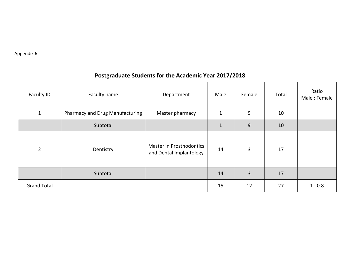### **Postgraduate Students for the Academic Year 2017/2018**

| Faculty ID         | Faculty name                    | Department                                          | Male         | Female         | Total | Ratio<br>Male: Female |
|--------------------|---------------------------------|-----------------------------------------------------|--------------|----------------|-------|-----------------------|
| 1                  | Pharmacy and Drug Manufacturing | Master pharmacy                                     | $\mathbf{1}$ | 9              | 10    |                       |
|                    | Subtotal                        |                                                     | $\mathbf{1}$ | 9              | 10    |                       |
| $\overline{2}$     | Dentistry                       | Master in Prosthodontics<br>and Dental Implantology | 14           | 3              | 17    |                       |
|                    | Subtotal                        |                                                     | 14           | $\overline{3}$ | 17    |                       |
| <b>Grand Total</b> |                                 |                                                     | 15           | 12             | 27    | 1:0.8                 |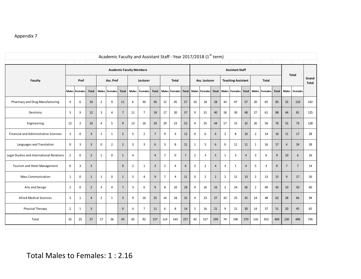|                                           |                |                      |                |                |                        |                |                | Academic Faculty and Assistant Staff - Year 2017/2018 (1st term) |                |                |                         |                |                |                     |                 |                |                           |                 |                |               |              |                |                |                       |
|-------------------------------------------|----------------|----------------------|----------------|----------------|------------------------|----------------|----------------|------------------------------------------------------------------|----------------|----------------|-------------------------|----------------|----------------|---------------------|-----------------|----------------|---------------------------|-----------------|----------------|---------------|--------------|----------------|----------------|-----------------------|
|                                           |                |                      |                |                | <b>Assistant Staff</b> |                |                |                                                                  |                |                |                         |                |                |                     |                 |                |                           |                 |                |               |              |                |                |                       |
| <b>Faculty</b>                            |                | Prof                 |                |                | Ass. Prof              |                |                | Lecturer                                                         |                |                | <b>Total</b>            |                |                | Ass. Lecturer       |                 |                | <b>Teaching Assistant</b> |                 | <b>Total</b>   |               |              |                | <b>Total</b>   | Grand<br><b>Total</b> |
|                                           |                | <b>Males Females</b> | <b>Total</b>   |                | Males Females          | <b>Total</b>   | <b>Males</b>   | <b>Females</b>                                                   | <b>Total</b>   | <b>Males</b>   | <b>Females</b> Total    |                |                | Males Females Total |                 |                | Males Females             | <b>Total</b>    |                | Males Females | <b>Total</b> |                | Males Females  |                       |
| Pharmacy and Drug Manufacturing           | 4              | 6                    | 10             | $\overline{2}$ | 9                      | 11             | 6              | 30                                                               | 36             | 12             | 45                      | 57             | 10             | 18                  | 28              | 10             | 47                        | 57              | 20             | 65            | 85           | 32             | 110            | 142                   |
| Dentistry                                 | 3              | 9                    | 12             | $\overline{3}$ | $\overline{4}$         | $7^{\circ}$    | 11             | $\overline{7}$                                                   | 18             | 17             | 20                      | 37             | 9              | 31                  | 40              | 18             | 30                        | 48              | 27             | 61            | 88           | 44             | 81             | 125                   |
| Engineering                               | 12             | $\overline{2}$       | 14             | $\overline{4}$ | 5                      | 9              | 13             | 16                                                               | 29             | 29             | 23                      | 52             | 9              | 35                  | 44              | 17             | 15                        | 32              | 26             | 50            | 76           | 55             | 73             | 128                   |
| Financial and Administrative Sciences     | 3              | $\mathbf 0$          | $\mathbf{3}$   | $\mathbf{1}$   | $\mathbf{1}$           | $\overline{2}$ | 5              | $\overline{2}$                                                   | $\sqrt{ }$     | 9              | $\overline{\mathbf{3}}$ | 12             | $\pmb{0}$      | 6                   | $\sqrt{6}$      | $\overline{2}$ | 8                         | 10              | $\overline{2}$ | 14            | 16           | 11             | 17             | 28                    |
| Languages and Translation                 | 0              | 3                    | $\mathbf{3}$   | 0              | $\overline{2}$         | $\overline{2}$ | 3              | 3                                                                | 6              | 3              | 8                       | 11             | $\mathbf 1$    | 5                   | $6\phantom{1}$  | $\mathbf 0$    | 11                        | 11              | $\mathbf{1}$   | 16            | 17           | $\overline{4}$ | 24             | 28                    |
| Legal Studies and International Relations | $\overline{2}$ | $\mathbf 0$          | $\overline{2}$ | $\mathbf{1}$   | 0                      | $\mathbf{1}$   | 4              |                                                                  | $\overline{4}$ | $\overline{7}$ | $\pmb{0}$               | $\overline{7}$ | $\overline{2}$ | 3                   | $5\phantom{.0}$ | $\mathbf{1}$   | $\overline{\mathbf{3}}$   | $\overline{4}$  | 3              | 6             | 9            | 10             | 6              | 16                    |
| Tourism and Hotel Management              | 0              | 3                    | $\mathbf{3}$   |                |                        | $\pmb{0}$      | $\overline{2}$ | $\mathbf{1}$                                                     | $\mathbf{3}$   | $\overline{2}$ | $\overline{4}$          | 6              | $\overline{2}$ | $\overline{2}$      | $\overline{4}$  | 3              | $\mathbf{1}$              | $\overline{4}$  | 5              | 3             | 8            | $\overline{7}$ | $\overline{7}$ | 14                    |
| <b>Mass Communication</b>                 | $\mathbf{1}$   | $\mathbf 0$          | $1\,$          | $\mathbf{1}$   | $\mathbf 0$            | $\mathbf{1}$   | 5              | $\overline{4}$                                                   | 9              | $\overline{7}$ | $\overline{4}$          | 11             | $\pmb{0}$      | $\overline{2}$      | $\overline{2}$  | $\overline{2}$ | 11                        | 13              | $\overline{2}$ | 13            | 15           | 9              | 17             | 26                    |
| Arts and Design                           | $\overline{2}$ | $\mathbf 0$          | $\mathbf 2$    | $\overline{3}$ | $\overline{4}$         | $\overline{7}$ | $\overline{3}$ | 6                                                                | 9              | 8              | 10                      | 18             | $\pmb{0}$      | 16                  | 16              | $\overline{2}$ | 24                        | 26              | $\overline{2}$ | 40            | 42           | 10             | 50             | 60                    |
| <b>Allied Medical Sciences</b>            | 3              | $\mathbf{1}$         | $\overline{4}$ | $\overline{2}$ | $\mathbf{1}$           | $\overline{3}$ | 9              | 16                                                               | 25             | 14             | 18                      | 32             | 4              | 23                  | 27              | 10             | 25                        | 35              | 14             | 48            | 62           | 28             | 66             | 94                    |
| Physical Therapy                          | $\overline{2}$ | $\mathbf{1}$         | 3              |                |                        | $\mathbf 0$    | 4              | $\overline{7}$                                                   | 11             | 6              | 8                       | 14             | 5              | 16                  | 21              | 9              | 21                        | 30 <sup>°</sup> | 14             | 37            | 51           | 20             | 45             | 65                    |
| Total                                     | 32             | 25                   | 57             | 17             | 26                     | 43             | 65             | 92                                                               | 157            | 114            | 143                     | 257            | 42             | 157                 | 199             | 74             | 196                       | 270             | 116            | 353           | 469          | 230            | 496            | 726                   |
|                                           |                |                      |                |                |                        |                |                |                                                                  |                |                |                         |                |                |                     |                 |                |                           |                 |                |               |              |                |                |                       |
|                                           |                |                      |                |                |                        |                |                |                                                                  |                |                |                         |                |                |                     |                 |                |                           |                 |                |               |              |                |                |                       |
| Total Males to Females: 1:2.16            |                |                      |                |                |                        |                |                |                                                                  |                |                |                         |                |                |                     |                 |                |                           |                 |                |               |              |                |                |                       |